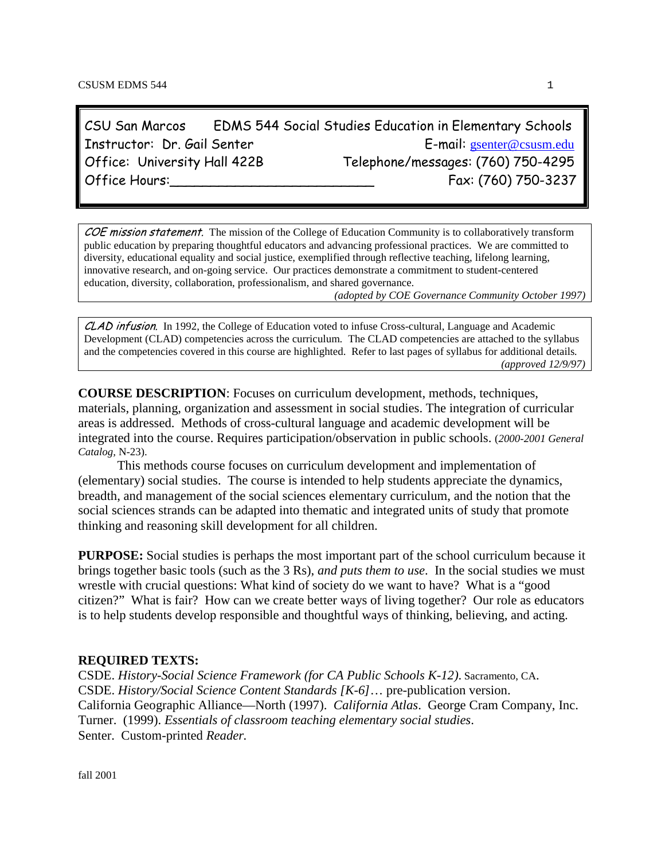CSU San Marcos EDMS 544 Social Studies Education in Elementary Schools Instructor: Dr. Gail Senter<br>Office: University Hall 422B Telephone/messages: (760) 750-4295 Telephone/messages: (760) 750-4295 Office Hours:\_\_\_\_\_\_\_\_\_\_\_\_\_\_\_\_\_\_\_\_\_\_\_\_\_ Fax: (760) 750-3237

COE mission statement. The mission of the College of Education Community is to collaboratively transform public education by preparing thoughtful educators and advancing professional practices. We are committed to diversity, educational equality and social justice, exemplified through reflective teaching, lifelong learning, innovative research, and on-going service. Our practices demonstrate a commitment to student-centered education, diversity, collaboration, professionalism, and shared governance.

*(adopted by COE Governance Community October 1997)*

CLAD infusion. In 1992, the College of Education voted to infuse Cross-cultural, Language and Academic Development (CLAD) competencies across the curriculum. The CLAD competencies are attached to the syllabus and the competencies covered in this course are highlighted. Refer to last pages of syllabus for additional details*. (approved 12/9/97)*

**COURSE DESCRIPTION**: Focuses on curriculum development, methods, techniques, materials, planning, organization and assessment in social studies. The integration of curricular areas is addressed. Methods of cross-cultural language and academic development will be integrated into the course. Requires participation/observation in public schools. (*2000-2001 General Catalog,* N-23).

This methods course focuses on curriculum development and implementation of (elementary) social studies. The course is intended to help students appreciate the dynamics, breadth, and management of the social sciences elementary curriculum, and the notion that the social sciences strands can be adapted into thematic and integrated units of study that promote thinking and reasoning skill development for all children.

**PURPOSE:** Social studies is perhaps the most important part of the school curriculum because it brings together basic tools (such as the 3 Rs), *and puts them to use*. In the social studies we must wrestle with crucial questions: What kind of society do we want to have? What is a "good citizen?" What is fair? How can we create better ways of living together? Our role as educators is to help students develop responsible and thoughtful ways of thinking, believing, and acting.

## **REQUIRED TEXTS:**

CSDE. *History-Social Science Framework (for CA Public Schools K-12)*. Sacramento, CA. CSDE. *History/Social Science Content Standards [K-6]*… pre-publication version. California Geographic Alliance—North (1997). *California Atlas*. George Cram Company, Inc. Turner. (1999). *Essentials of classroom teaching elementary social studies*. Senter. Custom-printed *Reader.*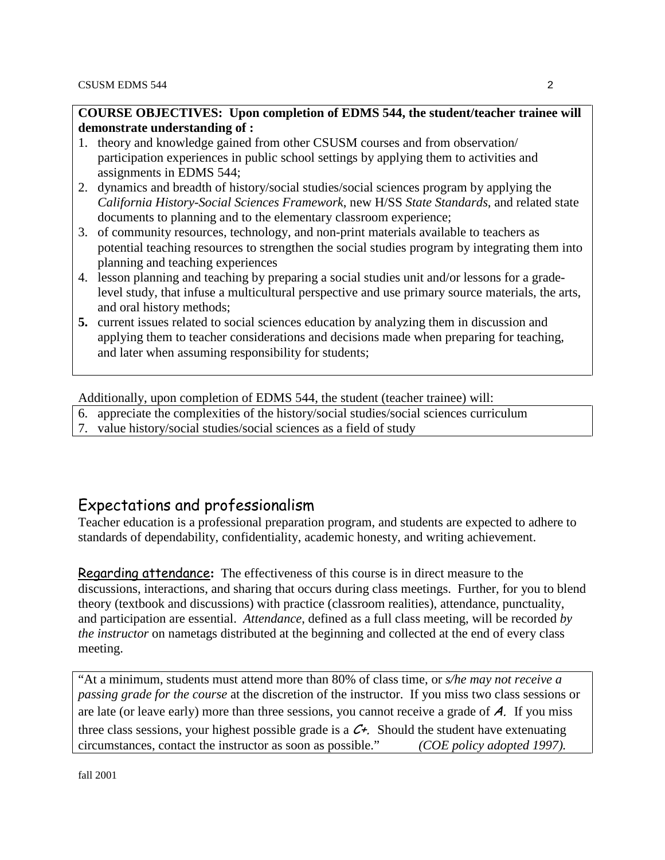## **COURSE OBJECTIVES: Upon completion of EDMS 544, the student/teacher trainee will demonstrate understanding of :**

- 1. theory and knowledge gained from other CSUSM courses and from observation/ participation experiences in public school settings by applying them to activities and assignments in EDMS 544;
- 2. dynamics and breadth of history/social studies/social sciences program by applying the *California History-Social Sciences Framework*, new H/SS *State Standards*, and related state documents to planning and to the elementary classroom experience;
- 3. of community resources, technology, and non-print materials available to teachers as potential teaching resources to strengthen the social studies program by integrating them into planning and teaching experiences
- 4. lesson planning and teaching by preparing a social studies unit and/or lessons for a gradelevel study, that infuse a multicultural perspective and use primary source materials, the arts, and oral history methods;
- **5.** current issues related to social sciences education by analyzing them in discussion and applying them to teacher considerations and decisions made when preparing for teaching, and later when assuming responsibility for students;

Additionally, upon completion of EDMS 544, the student (teacher trainee) will:

- 6. appreciate the complexities of the history/social studies/social sciences curriculum
- 7. value history/social studies/social sciences as a field of study

## Expectations and professionalism

Teacher education is a professional preparation program, and students are expected to adhere to standards of dependability, confidentiality, academic honesty, and writing achievement.

Regarding attendance**:** The effectiveness of this course is in direct measure to the discussions, interactions, and sharing that occurs during class meetings. Further, for you to blend theory (textbook and discussions) with practice (classroom realities), attendance, punctuality, and participation are essential. *Attendance*, defined as a full class meeting, will be recorded *by the instructor* on nametags distributed at the beginning and collected at the end of every class meeting.

"At a minimum, students must attend more than 80% of class time, or *s/he may not receive a passing grade for the course* at the discretion of the instructor. If you miss two class sessions or are late (or leave early) more than three sessions, you cannot receive a grade of  $A$ . If you miss three class sessions, your highest possible grade is a  $C<sup>+</sup>$ . Should the student have extenuating circumstances, contact the instructor as soon as possible." *(COE policy adopted 1997).*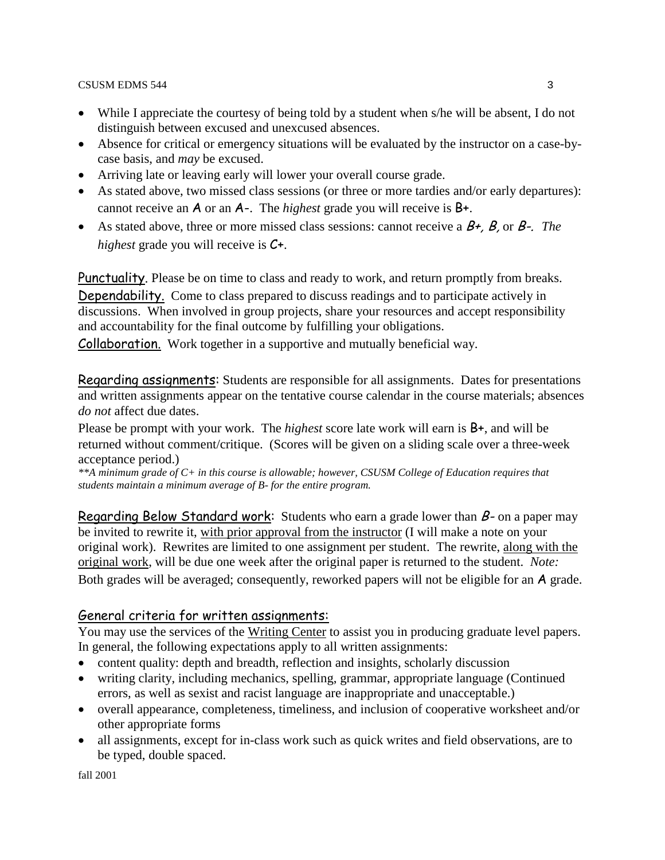CSUSM EDMS 544 3

- While I appreciate the courtesy of being told by a student when s/he will be absent, I do not distinguish between excused and unexcused absences.
- Absence for critical or emergency situations will be evaluated by the instructor on a case-bycase basis, and *may* be excused.
- Arriving late or leaving early will lower your overall course grade.
- As stated above, two missed class sessions (or three or more tardies and/or early departures): cannot receive an A or an A-. The *highest* grade you will receive is B+.
- As stated above, three or more missed class sessions: cannot receive a  $B^+$ , B, or B-. *The highest* grade you will receive is C+.

Punctuality. Please be on time to class and ready to work, and return promptly from breaks. Dependability. Come to class prepared to discuss readings and to participate actively in

discussions. When involved in group projects, share your resources and accept responsibility and accountability for the final outcome by fulfilling your obligations.

Collaboration. Work together in a supportive and mutually beneficial way.

Regarding assignments: Students are responsible for all assignments. Dates for presentations and written assignments appear on the tentative course calendar in the course materials; absences *do not* affect due dates.

Please be prompt with your work. The *highest* score late work will earn is B+, and will be returned without comment/critique. (Scores will be given on a sliding scale over a three-week acceptance period.)

*\*\*A minimum grade of C+ in this course is allowable; however, CSUSM College of Education requires that students maintain a minimum average of B- for the entire program.* 

Regarding Below Standard work: Students who earn a grade lower than  $B$ - on a paper may be invited to rewrite it, with prior approval from the instructor (I will make a note on your original work). Rewrites are limited to one assignment per student. The rewrite, along with the original work, will be due one week after the original paper is returned to the student. *Note:* Both grades will be averaged; consequently, reworked papers will not be eligible for an A grade.

## General criteria for written assignments:

You may use the services of the Writing Center to assist you in producing graduate level papers. In general, the following expectations apply to all written assignments:

- content quality: depth and breadth, reflection and insights, scholarly discussion
- writing clarity, including mechanics, spelling, grammar, appropriate language (Continued errors, as well as sexist and racist language are inappropriate and unacceptable.)
- overall appearance, completeness, timeliness, and inclusion of cooperative worksheet and/or other appropriate forms
- all assignments, except for in-class work such as quick writes and field observations, are to be typed, double spaced.

fall 2001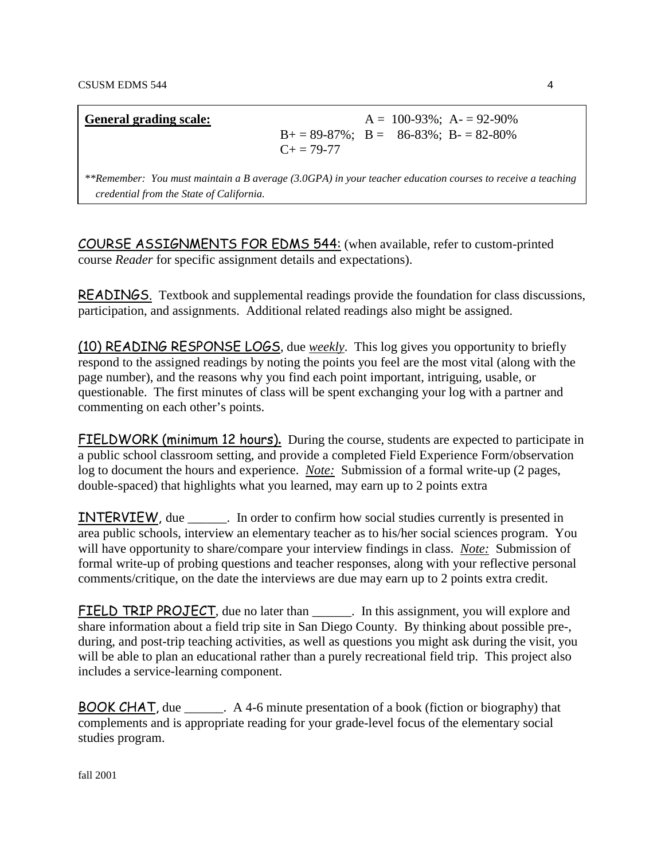| <b>General grading scale:</b> |                                                                 |  | $A = 100-93\%$ ; $A = 92-90\%$ |
|-------------------------------|-----------------------------------------------------------------|--|--------------------------------|
|                               | $B+=89-87\%$ ; $B=-86-83\%$ ; $B-=82-80\%$<br>$C_{\pm} = 79-77$ |  |                                |
|                               |                                                                 |  |                                |

*\*\*Remember: You must maintain a B average (3.0GPA) in your teacher education courses to receive a teaching credential from the State of California.*

COURSE ASSIGNMENTS FOR EDMS 544: (when available, refer to custom-printed course *Reader* for specific assignment details and expectations).

READINGS.Textbook and supplemental readings provide the foundation for class discussions, participation, and assignments. Additional related readings also might be assigned.

(10) READING RESPONSE LOGS, due *weekly*. This log gives you opportunity to briefly respond to the assigned readings by noting the points you feel are the most vital (along with the page number), and the reasons why you find each point important, intriguing, usable, or questionable. The first minutes of class will be spent exchanging your log with a partner and commenting on each other's points.

FIELDWORK (minimum 12 hours)**.** During the course, students are expected to participate in a public school classroom setting, and provide a completed Field Experience Form/observation log to document the hours and experience. *Note:* Submission of a formal write-up (2 pages, double-spaced) that highlights what you learned, may earn up to 2 points extra

INTERVIEW, due \_\_\_\_\_\_. In order to confirm how social studies currently is presented in area public schools, interview an elementary teacher as to his/her social sciences program. You will have opportunity to share/compare your interview findings in class. *Note:* Submission of formal write-up of probing questions and teacher responses, along with your reflective personal comments/critique, on the date the interviews are due may earn up to 2 points extra credit.

FIELD TRIP PROJECT, due no later than \_\_\_\_\_\_\_. In this assignment, you will explore and share information about a field trip site in San Diego County. By thinking about possible pre-, during, and post-trip teaching activities, as well as questions you might ask during the visit, you will be able to plan an educational rather than a purely recreational field trip. This project also includes a service-learning component.

BOOK CHAT, due \_\_\_\_\_\_. A 4-6 minute presentation of a book (fiction or biography) that complements and is appropriate reading for your grade-level focus of the elementary social studies program.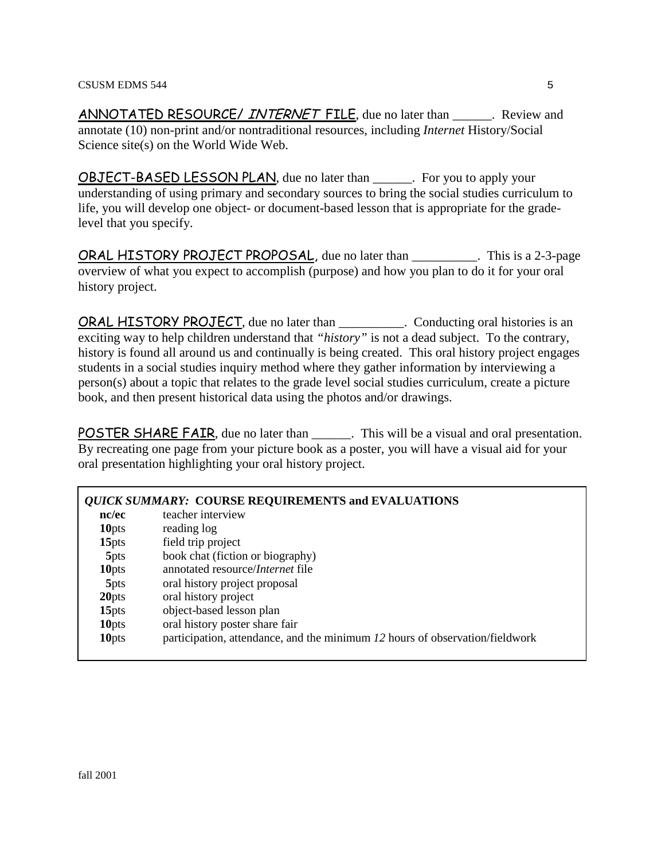ANNOTATED RESOURCE/ INTERNET FILE, due no later than \_\_\_\_\_\_. Review and annotate (10) non-print and/or nontraditional resources, including *Internet* History/Social Science site(s) on the World Wide Web.

OBJECT-BASED LESSON PLAN, due no later than \_\_\_\_\_\_. For you to apply your understanding of using primary and secondary sources to bring the social studies curriculum to life, you will develop one object- or document-based lesson that is appropriate for the gradelevel that you specify.

ORAL HISTORY PROJECT PROPOSAL, due no later than \_\_\_\_\_\_\_\_\_\_. This is a 2-3-page overview of what you expect to accomplish (purpose) and how you plan to do it for your oral history project.

ORAL HISTORY PROJECT, due no later than \_\_\_\_\_\_\_\_\_\_. Conducting oral histories is an exciting way to help children understand that *"history"* is not a dead subject. To the contrary, history is found all around us and continually is being created. This oral history project engages students in a social studies inquiry method where they gather information by interviewing a person(s) about a topic that relates to the grade level social studies curriculum, create a picture book, and then present historical data using the photos and/or drawings.

POSTER SHARE FAIR, due no later than \_\_\_\_\_\_. This will be a visual and oral presentation. By recreating one page from your picture book as a poster, you will have a visual aid for your oral presentation highlighting your oral history project.

|                   | <b>QUICK SUMMARY: COURSE REQUIREMENTS and EVALUATIONS</b>                    |
|-------------------|------------------------------------------------------------------------------|
| nc/ec             | teacher interview                                                            |
| 10 <sub>pts</sub> | reading log                                                                  |
| 15 <sub>pts</sub> | field trip project                                                           |
| 5 <sub>pts</sub>  | book chat (fiction or biography)                                             |
| 10 <sub>pts</sub> | annotated resource/ <i>Internet</i> file                                     |
| 5 <sub>pts</sub>  | oral history project proposal                                                |
| 20pts             | oral history project                                                         |
| 15 <sub>pts</sub> | object-based lesson plan                                                     |
| 10 <sub>pts</sub> | oral history poster share fair                                               |
| 10 <sub>pts</sub> | participation, attendance, and the minimum 12 hours of observation/fieldwork |
|                   |                                                                              |